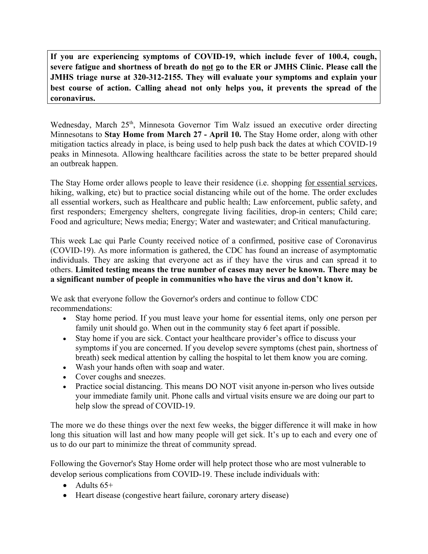**If you are experiencing symptoms of COVID-19, which include fever of 100.4, cough, severe fatigue and shortness of breath do not go to the ER or JMHS Clinic. Please call the JMHS triage nurse at 320-312-2155. They will evaluate your symptoms and explain your best course of action. Calling ahead not only helps you, it prevents the spread of the coronavirus.**

Wednesday, March 25<sup>th</sup>, Minnesota Governor Tim Walz issued an executive order directing Minnesotans to **Stay Home from March 27 - April 10.** The Stay Home order, along with other mitigation tactics already in place, is being used to help push back the dates at which COVID-19 peaks in Minnesota. Allowing healthcare facilities across the state to be better prepared should an outbreak happen.

The Stay Home order allows people to leave their residence (i.e. shopping <u>for essential services</u>, hiking, walking, etc) but to practice social distancing while out of the home. The order excludes all essential workers, such as Healthcare and public health; Law enforcement, public safety, and first responders; Emergency shelters, congregate living facilities, drop-in centers; Child care; Food and agriculture; News media; Energy; Water and wastewater; and Critical manufacturing.

This week Lac qui Parle County received notice of a confirmed, positive case of Coronavirus (COVID-19). As more information is gathered, the CDC has found an increase of asymptomatic individuals. They are asking that everyone act as if they have the virus and can spread it to others. **Limited testing means the true number of cases may never be known. There may be a significant number of people in communities who have the virus and don't know it.**

We ask that everyone follow the Governor's orders and continue to follow CDC recommendations:

- Stay home period. If you must leave your home for essential items, only one person per family unit should go. When out in the community stay 6 feet apart if possible.
- Stay home if you are sick. Contact your healthcare provider's office to discuss your symptoms if you are concerned. If you develop severe symptoms (chest pain, shortness of breath) seek medical attention by calling the hospital to let them know you are coming.
- Wash your hands often with soap and water.
- Cover coughs and sneezes.
- Practice social distancing. This means DO NOT visit anyone in-person who lives outside your immediate family unit. Phone calls and virtual visits ensure we are doing our part to help slow the spread of COVID-19.

The more we do these things over the next few weeks, the bigger difference it will make in how long this situation will last and how many people will get sick. It's up to each and every one of us to do our part to minimize the threat of community spread.

Following the Governor's Stay Home order will help protect those who are most vulnerable to develop serious complications from COVID-19. These include individuals with:

- $\bullet$  Adults  $65+$
- Heart disease (congestive heart failure, coronary artery disease)